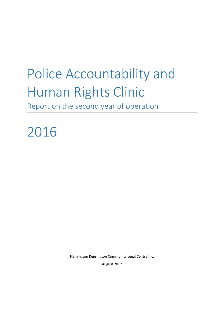IBACC Submission No. 49 Received: 6 October 2017

# Police Accountability and Human Rights Clinic

Report on the second year of operation

2016

Flemington Kensington Community Legal Centre Inc.

August 2017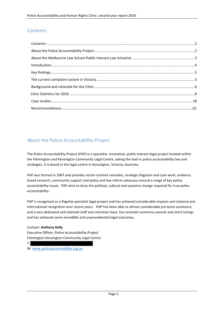## Contents:

## About the Police Accountability Project

The Police Accountability Project (PAP) is a specialist, innovative, public interest legal project located within the Flemington and Kensington Community Legal Centre, taking the lead in police accountability law and strategies. It is based in the legal centre in Kensington, Victoria, Australia.

PAP was formed in 2007 and provides victim-centred remedies, strategic litigation and case work, evidence based research, community support and policy and law reform advocacy around a range of key police accountability issues. PAP aims to drive the political, cultural and systemic change required for true police accountability.

PAP is recognised as a flagship specialist legal project and has achieved considerable impacts and national and international recognition over recent years. PAP has been able to attract considerable pro-bono assistance and a very dedicated and talented staff and volunteer base, has received numerous awards and short listings and has achieved some incredible and unprecedented legal outcomes.

Contact: **Anthony Kelly** Executive Officer, Police Accountability Project Flemington Kensington Community Legal Centre T: 

W: www.policeaccountability.org.au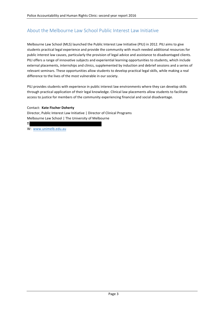## About the Melbourne Law School Public Interest Law Initiative

Melbourne Law School (MLS) launched the Public Interest Law Initiative (PILI) in 2012. PILI aims to give students practical legal experience and provide the community with much needed additional resources for public interest law causes, particularly the provision of legal advice and assistance to disadvantaged clients. PILI offers a range of innovative subjects and experiential learning opportunities to students, which include external placements, internships and clinics, supplemented by induction and debrief sessions and a series of relevant seminars. These opportunities allow students to develop practical legal skills, while making a real difference to the lives of the most vulnerable in our society.

PILI provides students with experience in public interest law environments where they can develop skills through practical application of their legal knowledge. Clinical law placements allow students to facilitate access to justice for members of the community experiencing financial and social disadvantage.

#### **Contact: Kate Fischer Doherty**

Director, Public Interest Law Initiative | Director of Clinical Programs Melbourne Law School | The University of Melbourne

**T:** W: www.unimelb.edu.au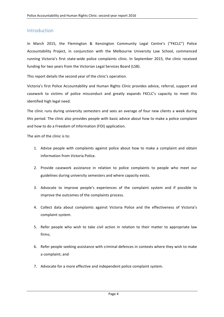#### Introduction

In March 2015, the Flemington & Kensington Community Legal Centre's ("FKCLC") Police Accountability Project, in conjunction with the Melbourne University Law School, commenced running Victoria's first state-wide police complaints clinic. In September 2015, the clinic received funding for two years from the Victorian Legal Services Board (LSB).

This report details the second year of the clinic's operation.

Victoria's first Police Accountability and Human Rights Clinic provides advice, referral, support and casework to victims of police misconduct and greatly expands FKCLC's capacity to meet this identified high legal need.

The clinic runs during university semesters and sees an average of four new clients a week during this period. The clinic also provides people with basic advice about how to make a police complaint and how to do a Freedom of Information (FOI) application.

The aim of the clinic is to:

- 1. Advise people with complaints against police about how to make a complaint and obtain information from Victoria Police.
- 2. Provide casework assistance in relation to police complaints to people who meet our guidelines during university semesters and where capacity exists.
- 3. Advocate to improve people's experiences of the complaint system and if possible to improve the outcomes of the complaints process.
- 4. Collect data about complaints against Victoria Police and the effectiveness of Victoria's complaint system.
- 5. Refer people who wish to take civil action in relation to their matter to appropriate law firms;
- 6. Refer people seeking assistance with criminal defences in contexts where they wish to make a complaint; and
- 7. Advocate for a more effective and independent police complaint system.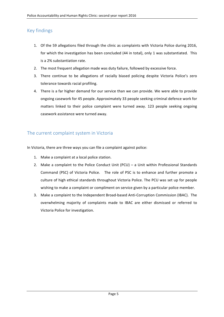## Key findings

- 1. Of the 59 allegations filed through the clinic as complaints with Victoria Police during 2016, for which the investigation has been concluded (44 in total), only 1 was substantiated. This is a 2% substantiation rate.
- 2. The most frequent allegation made was duty failure, followed by excessive force.
- 3. There continue to be allegations of racially biased policing despite Victoria Police's zero tolerance towards racial profiling.
- 4. There is a far higher demand for our service than we can provide. We were able to provide ongoing casework for 45 people. Approximately 33 people seeking criminal defence work for matters linked to their police complaint were turned away. 123 people seeking ongoing casework assistance were turned away.

#### The current complaint system in Victoria

In Victoria, there are three ways you can file a complaint against police:

- 1. Make a complaint at a local police station.
- 2. Make a complaint to the Police Conduct Unit (PCU) a Unit within Professional Standards Command (PSC) of Victoria Police. The role of PSC is to enhance and further promote a culture of high ethical standards throughout Victoria Police. The PCU was set up for people wishing to make a complaint or compliment on service given by a particular police member.
- 3. Make a complaint to the Independent Broad-based Anti-Corruption Commission (IBAC). The overwhelming majority of complaints made to IBAC are either dismissed or referred to Victoria Police for investigation.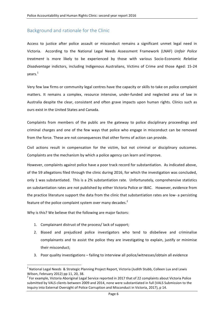#### Background and rationale for the Clinic

Access to justice after police assault or misconduct remains a significant unmet legal need in Victoria. According to the National Legal Needs Assessment Framework (LNAF) Unfair Police *treatment* is more likely to be experienced by those with various Socio-Economic Relative *Disadvantage* indictors, including Indigenous Australians, Victims of Crime and those Aged: 15-24  $vears.<sup>1</sup>$ 

Very few law firms or community legal centres have the capacity or skills to take on police complaint matters. It remains a complex, resource intensive, under-funded and neglected area of law in Australia despite the clear, consistent and often grave impacts upon human rights. Clinics such as ours exist in the United States and Canada.

Complaints from members of the public are the gateway to police disciplinary proceedings and criminal charges and one of the few ways that police who engage in misconduct can be removed from the force. These are not consequences that other forms of action can provide.

Civil actions result in compensation for the victim, but not criminal or disciplinary outcomes. Complaints are the mechanism by which a police agency can learn and improve.

However, complaints against police have a poor track record for substantiation. As indicated above, of the 59 allegations filed through the clinic during 2016, for which the investigation was concluded, only 1 was substantiated. This is a 2% substantiation rate. Unfortunately, comprehensive statistics on substantiation rates are not published by either Victoria Police or IBAC. However, evidence from the practice literature support the data from the clinic that substantiation rates are low- a persisting feature of the police complaint system over many decades.<sup>2</sup>

Why is this? We believe that the following are major factors:

<u> 1989 - Johann Stein, marwolaethau a bh</u>

- 1. Complainant distrust of the process/ lack of support;
- 2. Biased and prejudiced police investigators who tend to disbelieve and criminalise complainants and to assist the police they are investigating to explain, justify or minimise their misconduct;
- 3. Poor quality investigations failing to interview all police/witnesses/obtain all evidence

 $1$  National Legal Needs & Strategic Planning Project Report, Victoria (Judith Stubb, Colleen Lux and Lewis Wilson, February 2012) pp 11, 20, 38.

 $<sup>2</sup>$  For example, Victoria Aboriginal Legal Service reported in 2017 that of 22 complaints about Victoria Police</sup> submitted by VALS clients between 2009 and 2014, none were substantiated in full (VALS Submission to the Inquiry into External Oversight of Police Corruption and Misconduct in Victoria, 2017), p 14.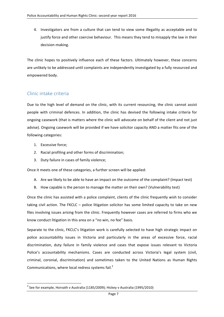4. Investigators are from a culture that can tend to view some illegality as acceptable and to justify force and other coercive behaviour. This means they tend to misapply the law in their decision-making. 

The clinic hopes to positively influence each of these factors. Ultimately however, these concerns are unlikely to be addressed until complaints are independently investigated by a fully resourced and empowered body.

#### Clinic intake criteria

Due to the high level of demand on the clinic, with its current resourcing, the clinic cannot assist people with criminal defences. In addition, the clinic has devised the following intake criteria for ongoing casework (that is matters where the clinic will advocate on behalf of the client and not just advise). Ongoing casework will be provided if we have solicitor capacity AND a matter fits one of the following categories:

- 1. Excessive force;
- 2. Racial profiling and other forms of discrimination;
- 3. Duty failure in cases of family violence;

Once it meets one of these categories, a further screen will be applied:

- A. Are we likely to be able to have an impact on the outcome of the complaint? (Impact test)
- B. How capable is the person to manage the matter on their own? (Vulnerability test)

Once the clinic has assisted with a police complaint, clients of the clinic frequently wish to consider taking civil action. The FKCLC - police litigation solicitor has some limited capacity to take on new files involving issues arising from the clinic. Frequently however cases are referred to firms who we know conduct litigation in this area on a "no win, no fee" basis.

Separate to the clinic, FKCLC's litigation work is carefully selected to have high strategic impact on police accountability issues in Victoria and particularly in the areas of excessive force, racial discrimination, duty failure in family violence and cases that expose issues relevant to Victoria Police's accountability mechanisms. Cases are conducted across Victoria's legal system (civil, criminal, coronial, discrimination) and sometimes taken to the United Nations as Human Rights Communications, where local redress systems fail. $3$ 

See for example, Horvath v Australia (1185/2009); Hickey v Australia (1995/2010)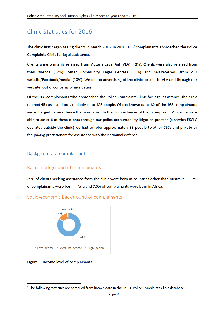# Clinic Statistics for 2016

The clinic first began seeing clients in March 2015. In 2016, 168<sup>4</sup> complainants approached the Police Complaints Clinic for legal assistance.

Clients were primarily referred from Victoria Legal Aid (VLA) (40%). Clients were also referred from their friends (12%), other Community Legal Centres (11%) and self-referred (from our website/Facebook/media) (10%). We did no advertising of the clinic, except to VLA and through our website, out of concerns of inundation.

Of the 168 complainants who approached the Police Complaints Clinic for legal assistance, the clinic opened 45 cases and provided advice to 123 people. Of the known data, 32 of the 168 complainants were charged for an offence that was linked to the circumstances of their complaint. While we were able to assist 6 of these clients through our police accountability litigation practice (a service FKCLC operates outside the clinic) we had to refer approximately 33 people to other CLCs and private or fee-paying practitioners for assistance with their criminal defence.

#### **Background of complainants**

#### Racial background of complainants

29% of clients seeking assistance from the clinic were born in countries other than Australia. 11.2% of complainants were born in Asia and 7.5% of complainants were born in Africa.



#### Socio-economic background of complainants

#### Figure 1: Income level of complainants.

The following statistics are compiled from known data in the FKCLC Police Complaints Clinic database.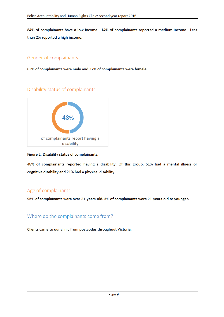84% of complainants have a low income. 14% of complainants reported a medium income. Less than 2% reported a high income.

## Gender of complainants

63% of complainants were male and 37% of complainants were female.



#### Disability status of complainants

#### Figure 2: Disability status of complainants.

48% of complainants reported having a disability. Of this group, 51% had a mental illness or cognitive disability and 21% had a physical disability.

## Age of complainants

95% of complainants were over 21-years-old. 5% of complainants were 21-years-old or younger.

#### Where do the complainants come from?

Clients came to our clinic from postcodes throughout Victoria.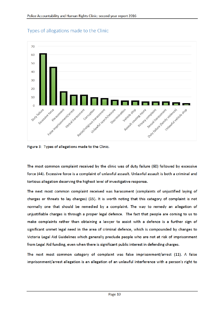

Types of allegations made to the Clinic

Figure 3: Types of allegations made to the Clinic.

The most common complaint received by the clinic was of duty failure (60) followed by excessive force (44). Excessive force is a complaint of unlawful assault. Unlawful assault is both a criminal and tortious allegation deserving the highest level of investigative response.

The next most common complaint received was harassment (complaints of unjustified laying of charges or threats to lay charges) (15). It is worth noting that this category of complaint is not normally one that should be remedied by a complaint. The way to remedy an allegation of unjustifiable charges is through a proper legal defence. The fact that people are coming to us to make complaints rather than obtaining a lawyer to assist with a defence is a further sign of significant unmet legal need in the area of criminal defence, which is compounded by changes to Victoria Legal Aid Guidelines which generally preclude people who are not at risk of imprisonment from Legal Aid funding, even when there is significant public interest in defending charges.

The next most common category of complaint was false imprisonment/arrest (11). A false imprisonment/arrest allegation is an allegation of an unlawful interference with a person's right to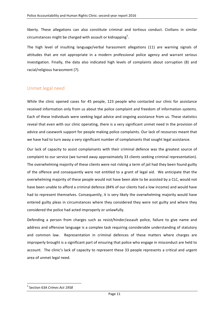liberty. These allegations can also constitute criminal and tortious conduct. Civilians in similar circumstances might be charged with assault or kidnapping<sup>5</sup>.

The high level of insulting language/verbal harassment allegations (11) are warning signals of attitudes that are not appropriate in a modern professional police agency and warrant serious investigation. Finally, the data also indicated high levels of complaints about corruption (8) and racial/religious harassment (7).

#### Unmet legal need

While the clinic opened cases for 45 people, 123 people who contacted our clinic for assistance received information only from us about the police complaint and freedom of information systems. Each of these individuals were seeking legal advice and ongoing assistance from us. These statistics reveal that even with our clinic operating, there is a very significant unmet need in the provision of advice and casework support for people making police complaints. Our lack of resources meant that we have had to turn away a very significant number of complainants that sought legal assistance.

Our lack of capacity to assist complainants with their criminal defence was the greatest source of complaint to our service (we turned away approximately 33 clients seeking criminal representation). The overwhelming majority of these clients were not risking a term of jail had they been found guilty of the offence and consequently were not entitled to a grant of legal aid. We anticipate that the overwhelming majority of these people would not have been able to be assisted by a CLC, would not have been unable to afford a criminal defence (84% of our clients had a low income) and would have had to represent themselves. Consequently, it is very likely the overwhelming majority would have entered guilty pleas in circumstances where they considered they were not guilty and where they considered the police had acted improperly or unlawfully.

Defending a person from charges such as resist/hinder/assault police, failure to give name and address and offensive language is a complex task requiring considerable understanding of statutory and common law. Representation in criminal defences of these matters where charges are improperly brought is a significant part of ensuring that police who engage in misconduct are held to account. The clinic's lack of capacity to represent these 33 people represents a critical and urgent area of unmet legal need.

 <sup>5</sup> Section 63A *Crimes Act 1958*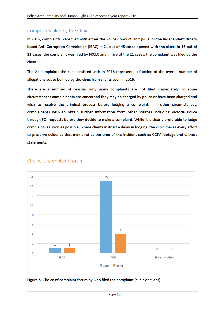### Complaints filed by the Clinic

In 2016, complaints were filed with either the Police Conduct Unit (PCU) or the Independent Broadbased Anti-Corruption Commission (IBAC) in 21 out of 45 cases opened with the clinic. In 16 out of 21 cases, the complaint was filed by FKCLC and in five of the 21 cases, the complaint was filed by the client.

The 21 complaints the clinic assisted with in 2016 represents a fraction of the overall number of allegations yet to be filed by the clinic from clients seen in 2016.

There are a number of reasons why many complaints are not filed immediately. In some circumstances complainants are concerned they may be charged by police or have been charged and wish to resolve the criminal process before lodging a complaint. In other circumstances, complainants wish to obtain further information from other sources including Victoria Police through FOI requests before they decide to make a complaint. While it is clearly preferable to lodge complaints as soon as possible, where clients instruct a delay in lodging, the clinic makes every effort to preserve evidence that may exist at the time of the incident such as CCTV footage and witness statements.



#### Choice of complaint forum

#### Figure 5: Choice of complaint forum by who filed the complaint (clinic or client)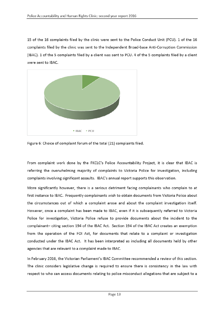15 of the 16 complaints filed by the clinic were sent to the Police Conduct Unit (PCU). 1 of the 16 complaints filed by the clinic was sent to the Independent Broad-base Anti-Corruption Commission (IBAC). 1 of the 5 complaints filed by a client was sent to PCU. 4 of the 5 complaints filed by a client were sent to IBAC.



Figure 6: Choice of complaint forum of the total (21) complaints filed.

From complaint work done by the FKCLC's Police Accountability Project, it is clear that IBAC is referring the overwhelming majority of complaints to Victoria Police for investigation, including complaints involving significant assaults. IBAC's annual report supports this observation.

More significantly however, there is a serious detriment facing complainants who complain to at first instance to IBAC. Frequently complainants wish to obtain documents from Victoria Police about the circumstances out of which a complaint arose and about the complaint investigation itself. However, once a complaint has been made to IBAC, even if it is subsequently referred to Victoria Police for investigation, Victoria Police refuse to provide documents about the incident to the complainant-citing section 194 of the IBAC Act. Section 194 of the IBAC Act creates an exemption from the operation of the FOI Act, for documents that relate to a complaint or investigation conducted under the IBAC Act. It has been interpreted as including all documents held by other agencies that are relevant to a complaint made to IBAC.

In February 2016, the Victorian Parliament's IBAC Committee recommended a review of this section. The clinic considers legislative change is required to ensure there is consistency in the law with respect to who can access documents relating to police misconduct allegations that are subject to a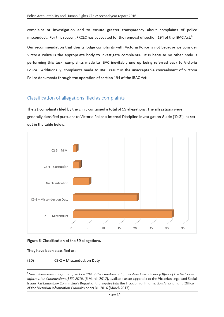complaint or investigation and to ensure greater transparency about complaints of police misconduct. For this reason, FKCLC has advocated for the removal of section 194 of the IBAC Act.<sup>6</sup>

Our recommendation that clients lodge complaints with Victoria Police is not because we consider Victoria Police is the appropriate body to investigate complaints. It is because no other body is performing this task: complaints made to IBAC inevitably end up being referred back to Victoria Police. Additionally, complaints made to IBAC result in the unacceptable concealment of Victoria Police documents through the operation of section 194 of the IBAC Act.

#### Classification of allegations filed as complaints

The 21 complaints filed by the clinic contained a total of 59 allegations. The allegations were generally classified pursuant to Victoria Police's Internal Discipline Investigation Guide ('DIG'), as set out in the table below.



#### Figure 6: Classification of the 59 allegations.

They have been classified as:

 $(20)$ C3-2 - Misconduct on Duty

<sup>&</sup>lt;sup>6</sup> See Submission on reforming section 194 of the Freedom of Information Amendment (Office of the Victorian Information Commissioner) Bill 2016, (6 March 2017), available as an appendix to the Victorian Legal and Social Issues Parliamentary Committee's Report of the Inquiry into the Freedom of Information Amendment (Office of the Victorian Information Commissioner) Bill 2016 (March 2017).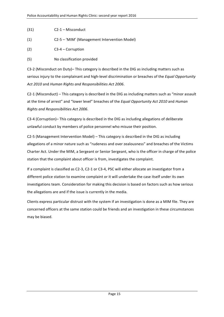- $(31)$  C2-1 Misconduct
- (1) C2-5 'MIM' (Management Intervention Model)
- (2) C3-4 Corruption
- (5) No classification provided

C3-2 (Misconduct on Duty)– This category is described in the DIG as including matters such as serious injury to the complainant and high-level discrimination or breaches of the *Equal Opportunity* Act 2010 and *Human Rights and Responsibilities Act 2006*.

C2-1 (Misconduct) – This category is described in the DIG as including matters such as "minor assault at the time of arrest" and "lower level" breaches of the *Equal Opportunity Act 2010* and *Human Rights and Responsibilities Act 2006*.

C3-4 (Corruption)– This category is described in the DIG as including allegations of deliberate unlawful conduct by members of police personnel who misuse their position.

C2-5 (Management Intervention Model) – This category is described in the DIG as including allegations of a minor nature such as "rudeness and over zealousness" and breaches of the Victims Charter Act. Under the MIM, a Sergeant or Senior Sergeant, who is the officer in charge of the police station that the complaint about officer is from, investigates the complaint.

If a complaint is classified as C2-3, C2-1 or C3-4, PSC will either allocate an investigator from a different police station to examine complaint or it will undertake the case itself under its own investigations team. Consideration for making this decision is based on factors such as how serious the allegations are and if the issue is currently in the media.

Clients express particular distrust with the system if an investigation is done as a MIM file. They are concerned officers at the same station could be friends and an investigation in these circumstances may be biased.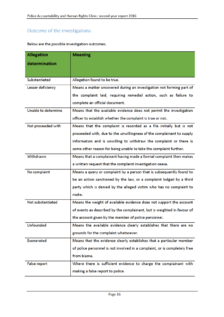# Outcome of the investigations

Below are the possible investigation outcomes.

| <b>Allegation</b>   | <b>Meaning</b>                                                            |
|---------------------|---------------------------------------------------------------------------|
| determination       |                                                                           |
|                     |                                                                           |
| Substantiated       | Allegation found to be true.                                              |
| Lesser deficiency   | Means a matter uncovered during an investigation not forming part of      |
|                     | the complaint laid, requiring remedial action, such as failure to         |
|                     | complete an official document.                                            |
| Unable to determine | Means that the available evidence does not permit the investigation       |
|                     | officer to establish whether the complaint is true or not.                |
| Not proceeded with  | Means that the complaint is recorded as a file initially but is not       |
|                     | proceeded with, due to the unwillingness of the complainant to supply     |
|                     | information and is unwilling to withdraw the complaint or there is        |
|                     | some other reason for being unable to take the complaint further.         |
| Withdrawn           | Means that a complainant having made a formal complaint then makes        |
|                     | a written request that the complaint investigation cease.                 |
| No complaint        | Means a query or complaint by a person that is subsequently found to      |
|                     | be an action sanctioned by the law, or a complaint lodged by a third      |
|                     | party which is denied by the alleged victim who has no complaint to       |
|                     | make.                                                                     |
| Not substantiated   | Means the weight of available evidence does not support the account       |
|                     | of events as described by the complainant, but is weighted in favour of   |
|                     | the account given by the member of police personnel.                      |
| <b>Unfounded</b>    | Means the available evidence clearly establishes that there are no        |
|                     | grounds for the complaint whatsoever.                                     |
| <b>Exonerated</b>   | Means that the evidence clearly establishes that a particular member      |
|                     | of police personnel is not involved in a complaint, or is completely free |
|                     | from blame.                                                               |
| <b>False report</b> | Where there is sufficient evidence to charge the complainant with         |
|                     | making a false report to police.                                          |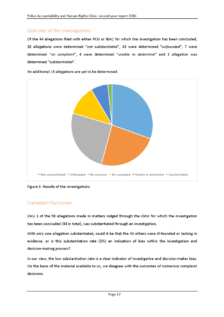#### Outcome of the investigations

Of the 44 allegations filed with either PCU or IBAC for which the investigation has been concluded, 18 allegations were determined "not substantiated", 14 were determined "unfounded", 7 were determined "no complaint", 4 were determined "unable to determine" and 1 allegation was determined "substantiated".

An additional 15 allegations are yet to be determined.



Figure 5: Results of the investigations

#### **Complaint Outcomes**

Only 1 of the 59 allegations made in matters lodged through the clinic for which the investigation has been concluded (44 in total), was substantiated through an investigation.

With only one allegation substantiated, could it be that the 43 others were ill-founded or lacking in evidence, or is this substantiation rate (2%) an indication of bias within the investigation and decision-making process?

In our view, the low substantiation rate is a clear indicator of investigative and decision-maker bias. On the basis of the material available to us, we disagree with the outcomes of numerous complaint decisions.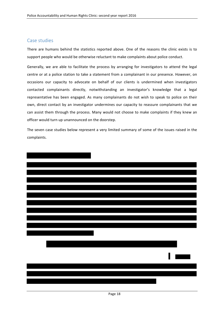#### Case studies

There are humans behind the statistics reported above. One of the reasons the clinic exists is to support people who would be otherwise reluctant to make complaints about police conduct.

Generally, we are able to facilitate the process by arranging for investigators to attend the legal centre or at a police station to take a statement from a complainant in our presence. However, on occasions our capacity to advocate on behalf of our clients is undermined when investigators contacted complainants directly, notwithstanding an investigator's knowledge that a legal representative has been engaged. As many complainants do not wish to speak to police on their own, direct contact by an investigator undermines our capacity to reassure complainants that we can assist them through the process. Many would not choose to make complaints if they knew an officer would turn up unannounced on the doorstep.

The seven case studies below represent a very limited summary of some of the issues raised in the complaints. 

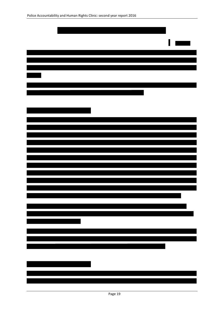|  |  | L<br>سي |
|--|--|---------|
|  |  |         |
|  |  |         |
|  |  |         |
|  |  |         |
|  |  |         |
|  |  |         |
|  |  |         |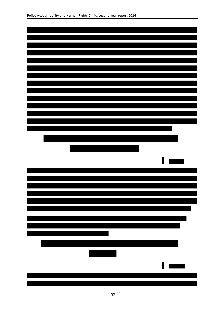|  | $\blacksquare$ |
|--|----------------|
|  |                |
|  |                |
|  |                |
|  |                |
|  |                |
|  |                |
|  |                |
|  |                |
|  | $\mathbf{I}$   |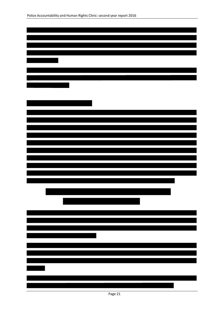| <u> 1989 - Johann Barn, mars eta barnar eta politikaria (h. 1989).</u> |  |
|------------------------------------------------------------------------|--|
|                                                                        |  |
|                                                                        |  |
|                                                                        |  |
|                                                                        |  |
|                                                                        |  |
|                                                                        |  |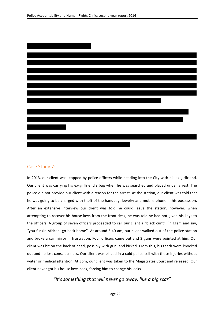

#### Case Study 7:

In 2013, our client was stopped by police officers while heading into the City with his ex-girlfriend. Our client was carrying his ex-girlfriend's bag when he was searched and placed under arrest. The police did not provide our client with a reason for the arrest. At the station, our client was told that he was going to be charged with theft of the handbag, jewelry and mobile phone in his possession. After an extensive interview our client was told he could leave the station, however, when attempting to recover his house keys from the front desk, he was told he had not given his keys to the officers. A group of seven officers proceeded to call our client a "black cunt", "nigger" and say, "you fuckin African, go back home". At around 6:40 am, our client walked out of the police station and broke a car mirror in frustration. Four officers came out and 3 guns were pointed at him. Our client was hit on the back of head, possibly with gun, and kicked. From this, his teeth were knocked out and he lost consciousness. Our client was placed in a cold police cell with these injuries without water or medical attention. At 3pm, our client was taken to the Magistrates Court and released. Our client never got his house keys back, forcing him to change his locks.

"It's something that will never go away, like a big scar"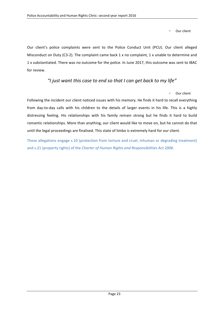#### *-* Our client

Our client's police complaints were sent to the Police Conduct Unit (PCU). Our client alleged Misconduct on Duty (C3-2). The complaint came back 1 x no complaint, 1 x unable to determine and 1 x substantiated. There was no outcome for the police. In June 2017, this outcome was sent to IBAC for review.

#### "I just want this case to end so that I can get back to my life"

#### *-* Our client

Following the incident our client noticed issues with his memory. He finds it hard to recall everything from day-to-day calls with his children to the details of larger events in his life. This is a highly distressing feeling. His relationships with his family remain strong but he finds it hard to build romantic relationships. More than anything, our client would like to move on, but he cannot do that until the legal proceedings are finalised. This state of limbo is extremely hard for our client.

These allegations engage s.10 (protection from torture and cruel, inhuman or degrading treatment) and s.21 (property rights) of the *Charter of Human Rights and Responsibilities Act 2006*.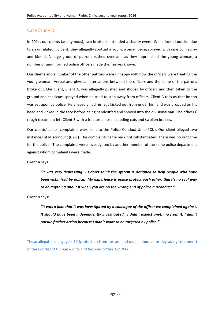#### Case Study 8:

In 2014, our clients (anonymous), two brothers, attended a charity event. While locked outside due to an unrelated incident, they allegedly spotted a young woman being sprayed with capsicum spray and kicked. A large group of patrons rushed over and as they approached the young woman, a number of ununiformed police officers made themselves known.

Our clients and a number of the other patrons were unhappy with how the officers were treating the young woman. Verbal and physical altercations between the officers and the some of the patrons broke out. Our client, Client A, was allegedly pushed and shoved by officers and then taken to the ground and capsicum sprayed when he tried to step away from officers. Client B tells us that he too was set upon by police. He allegedly had his legs kicked out from under him and was dropped on his head and kicked in the face before being handcuffed and shoved into the divisional van. The officers' rough treatment left Client B with a fractured nose, bleeding cuts and swollen bruises.

Our clients' police complaints were sent to the Police Conduct Unit (PCU). Our client alleged two instances of Misconduct (C2-1). The complaints came back not substantiated. There was no outcome for the police. The complaints were investigated by another member of the same police department against whom complaints were made.

Client A says:

"It was very depressing  $-1$  don't think the system is designed to help people who have been victimised by police. My experience is police protect each other, there's no real way to do anything about it when you are on the wrong end of police misconduct."

Client B says:

"It was a joke that it was investigated by a colleague of the officer we complained against. *It should have been independently investigated. I didn't expect anything from it. I didn't pursue further action because I didn't want to be targeted by police."*

These allegations engage s.10 (protection from torture and cruel, inhuman or degrading treatment) of the *Charter of Human Rights and Responsibilities Act 2006.*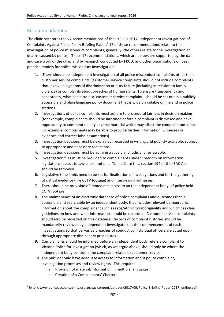#### Recommendations

The clinic reiterates the 22 recommendations of the FKCLC's 2017, Independent Investigations of Complaints Against Police Policy Briefing Paper.<sup>7</sup> 17 of these recommendations relate to the investigation of police misconduct complaints, generally (the others relate to the investigation of deaths caused by police). These 17 recommendations, which are below, are supported by the data and case work of the clinic and by research conducted by FKCLC and other organisations on best practice models for police misconduct investigation:

- 1. There should be independent investigation of all police misconduct complaints other than customer service complaints. (Customer service complaints should not include complaints that involve allegations of discrimination or duty failure (including in relation to family violence) or complaints about breaches of human rights. To ensure transparency and consistency, what constitutes a 'customer service complaint,' should be set out in a publicly accessible and plain language policy document that is widely available online and in police stations.
- 2. Investigations of police complaints must adhere to procedural fairness in decision making (for example, complainants should be informed before a complaint is dismissed and have opportunity to comment on any adverse material which may affect the complaint outcome. For example, complainants may be able to provide further information, witnesses or evidence and correct false assumptions).
- 3. Investigation decisions must be explained, recorded in writing and publicly available, subject to appropriate and necessary redactions.
- 4. Investigation decisions must be administratively and judicially reviewable.
- 5. Investigation files must be provided to complainants under Freedom on Information legislation, subject to lawful exemptions. To facilitate this, section 194 of the IBAC Act should be removed.
- 6. Legislative time limits need to be set for finalisation of investigations and for the gathering of critical evidence (like CCTV footage) and interviewing witnesses.
- 7. There should be provision of immediate access to an the independent body, of police held CCTV footage;
- 8. The maintenance of an electronic database of police complaints and outcomes that is accessible and searchable by an independent body, that includes relevant demographic information about the complainant such as race/ethnicity/aboriginality and which has clear guidelines on how and what information should be recorded. Customer service complaints should also be recorded on this database. Records of complaint histories should be mandatorily reviewed by independent investigators at the commencement of each investigations so that pervasive breaches of conduct by individual officers are acted upon through appropriate disciplinary procedures.
- 9. Complainants should be informed before an independent body refers a complaint to Victoria Police for investigation (which, as we argue above, should only be where the independent body considers the complaint relates to customer service).
- 10. The public should have adequate access to information about police complaint, investigation processes and review rights. This requires:
	- a. Provision of material/information in multiple languages;
	- b. Creation of a Complainants' Charter;

 <sup>7</sup> http://www.policeaccountability.org.au/wp-content/uploads/2017/09/Policy-Briefing-Paper-2017\_online.pdf